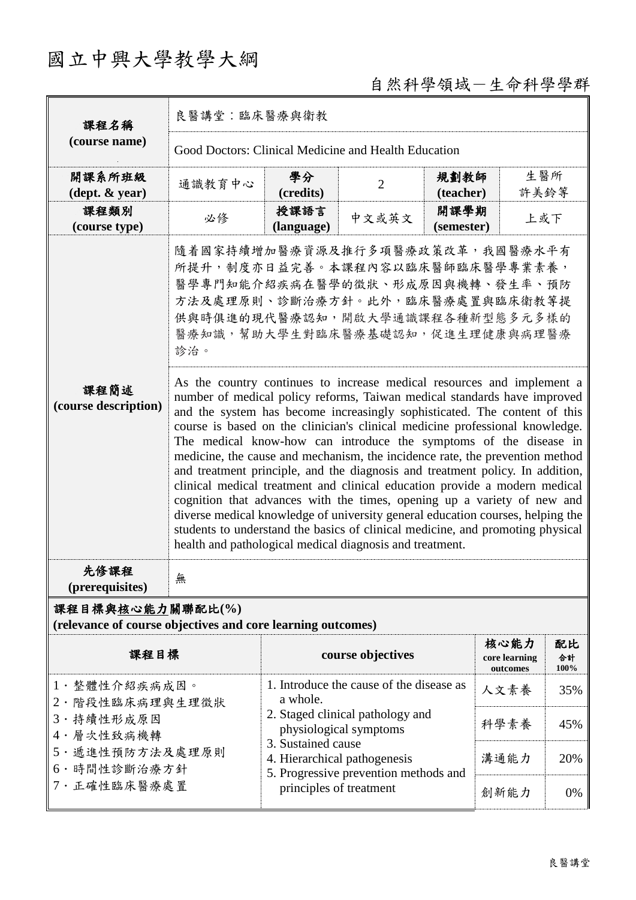## 國立中興大學教學大綱

## 自然科學領域-生命科學學群

| 課程名稱                                                                            | 良醫講堂:臨床醫療與衛教                                                                                                                                                                                                                                                                                                                                                                                                                                                                                                                                                                                                                                                                                                                                                                   |                    |                |                    |             |  |  |
|---------------------------------------------------------------------------------|--------------------------------------------------------------------------------------------------------------------------------------------------------------------------------------------------------------------------------------------------------------------------------------------------------------------------------------------------------------------------------------------------------------------------------------------------------------------------------------------------------------------------------------------------------------------------------------------------------------------------------------------------------------------------------------------------------------------------------------------------------------------------------|--------------------|----------------|--------------------|-------------|--|--|
| (course name)                                                                   | Good Doctors: Clinical Medicine and Health Education                                                                                                                                                                                                                                                                                                                                                                                                                                                                                                                                                                                                                                                                                                                           |                    |                |                    |             |  |  |
| 開課系所班級<br>$(\text{dept.} \& \text{ year})$                                      | 通識教育中心                                                                                                                                                                                                                                                                                                                                                                                                                                                                                                                                                                                                                                                                                                                                                                         | 學分<br>(credits)    | $\overline{2}$ | 規劃教師<br>(teacher)  | 生醫所<br>許美鈴等 |  |  |
| 課程類別<br>(course type)                                                           | 必修                                                                                                                                                                                                                                                                                                                                                                                                                                                                                                                                                                                                                                                                                                                                                                             | 授課語言<br>(language) | 中文或英文          | 開課學期<br>(semester) | 上或下         |  |  |
| 課程簡述<br>(course description)                                                    | 隨着國家持續增加醫療資源及推行多項醫療政策改革,我國醫療水平有<br>所提升,制度亦日益完善。本課程內容以臨床醫師臨床醫學專業素養,<br>醫學專門知能介紹疾病在醫學的徵狀、形成原因與機轉、發生率、預防<br>方法及處理原則、診斷治療方針。此外,臨床醫療處置與臨床衛教等提<br>供與時俱進的現代醫療認知,開啟大學通識課程各種新型態多元多樣的<br>醫療知識,幫助大學生對臨床醫療基礎認知,促進生理健康與病理醫療<br>診治。<br>As the country continues to increase medical resources and implement a<br>number of medical policy reforms, Taiwan medical standards have improved<br>and the system has become increasingly sophisticated. The content of this<br>course is based on the clinician's clinical medicine professional knowledge.<br>The medical know-how can introduce the symptoms of the disease in<br>medicine, the cause and mechanism, the incidence rate, the prevention method<br>and treatment principle, and the diagnosis and treatment policy. In addition, |                    |                |                    |             |  |  |
|                                                                                 | clinical medical treatment and clinical education provide a modern medical<br>cognition that advances with the times, opening up a variety of new and<br>diverse medical knowledge of university general education courses, helping the<br>students to understand the basics of clinical medicine, and promoting physical<br>health and pathological medical diagnosis and treatment.                                                                                                                                                                                                                                                                                                                                                                                          |                    |                |                    |             |  |  |
| 先修課程<br>(prerequisites)                                                         | 無                                                                                                                                                                                                                                                                                                                                                                                                                                                                                                                                                                                                                                                                                                                                                                              |                    |                |                    |             |  |  |
| 課程目標與核心能力關聯配比(%)<br>(relevance of course objectives and core learning outcomes) |                                                                                                                                                                                                                                                                                                                                                                                                                                                                                                                                                                                                                                                                                                                                                                                |                    |                |                    |             |  |  |

| 課程目標                                                                                                             | course objectives                                                                                                                                                                                                                            | 核心能力<br>core learning<br>outcomes | 配比<br>合計<br>100% |
|------------------------------------------------------------------------------------------------------------------|----------------------------------------------------------------------------------------------------------------------------------------------------------------------------------------------------------------------------------------------|-----------------------------------|------------------|
| 1· 整體性介紹疾病成因。<br>2· 階段性臨床病理與生理徵狀<br>3 · 持續性形成原因<br>4 · 層次性致病機轉<br>5· 遞進性預防方法及處理原則<br>6·時間性診斷治療方針<br>7· 正確性臨床醫療處置 | 1. Introduce the cause of the disease as<br>a whole.<br>2. Staged clinical pathology and<br>physiological symptoms<br>3. Sustained cause<br>4. Hierarchical pathogenesis<br>5. Progressive prevention methods and<br>principles of treatment | 人文素養                              | 35%              |
|                                                                                                                  |                                                                                                                                                                                                                                              | 科學素養                              | 45%              |
|                                                                                                                  |                                                                                                                                                                                                                                              | 溝通能力                              | 20%              |
|                                                                                                                  |                                                                                                                                                                                                                                              | 創新能力                              | $0\%$            |